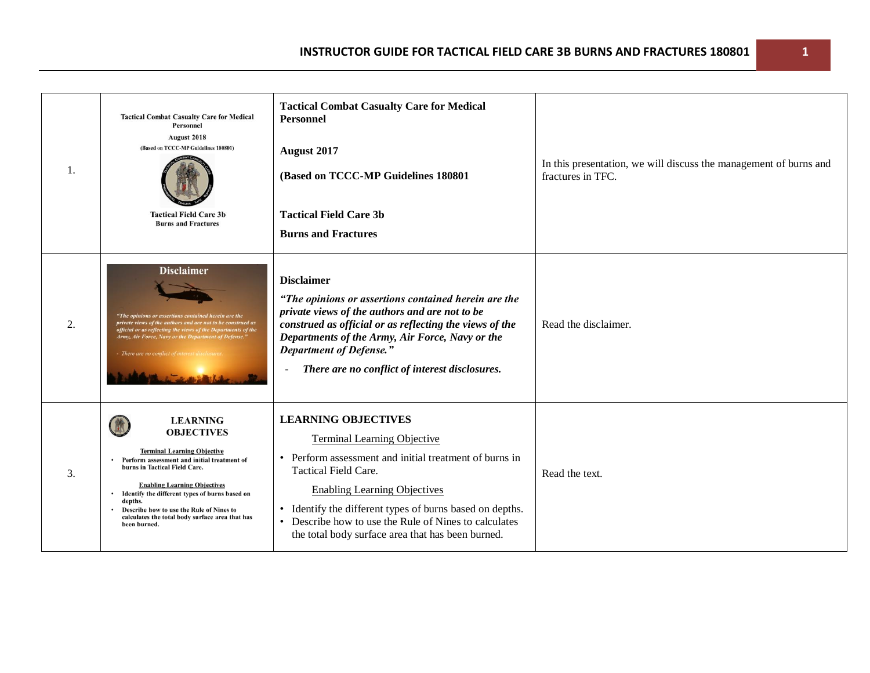| 1. | <b>Tactical Combat Casualty Care for Medical</b><br><b>Personnel</b><br>August 2018<br>(Based on TCCC-MP Guidelines 180801)<br><b>Tactical Field Care 3b</b><br><b>Burns and Fractures</b>                                                                                                                                                                                      | <b>Tactical Combat Casualty Care for Medical</b><br><b>Personnel</b><br>August 2017<br>(Based on TCCC-MP Guidelines 180801<br><b>Tactical Field Care 3b</b><br><b>Burns and Fractures</b>                                                                                                                                                                                                        | In this presentation, we will discuss the management of burns and<br>fractures in TFC. |
|----|---------------------------------------------------------------------------------------------------------------------------------------------------------------------------------------------------------------------------------------------------------------------------------------------------------------------------------------------------------------------------------|--------------------------------------------------------------------------------------------------------------------------------------------------------------------------------------------------------------------------------------------------------------------------------------------------------------------------------------------------------------------------------------------------|----------------------------------------------------------------------------------------|
| 2. | <b>Disclaimer</b><br>"The opinions or assertions contained herein are the<br>private views of the authors and are not to be construed as<br>official or as reflecting the views of the Departments of the<br>Army, Air Force, Navy or the Department of Defense."<br>There are no conflict of                                                                                   | <b>Disclaimer</b><br>"The opinions or assertions contained herein are the<br>private views of the authors and are not to be<br>construed as official or as reflecting the views of the<br>Departments of the Army, Air Force, Navy or the<br><b>Department of Defense."</b><br>There are no conflict of interest disclosures.                                                                    | Read the disclaimer.                                                                   |
| 3. | <b>LEARNING</b><br><b>OBJECTIVES</b><br><b>Terminal Learning Objective</b><br>Perform assessment and initial treatment of<br>burns in Tactical Field Care.<br><b>Enabling Learning Objectives</b><br>• Identify the different types of burns based on<br>depths.<br>Describe how to use the Rule of Nines to<br>calculates the total body surface area that has<br>been burned. | <b>LEARNING OBJECTIVES</b><br><b>Terminal Learning Objective</b><br>Perform assessment and initial treatment of burns in<br>$\bullet$<br><b>Tactical Field Care.</b><br><b>Enabling Learning Objectives</b><br>• Identify the different types of burns based on depths.<br>Describe how to use the Rule of Nines to calculates<br>$\bullet$<br>the total body surface area that has been burned. | Read the text.                                                                         |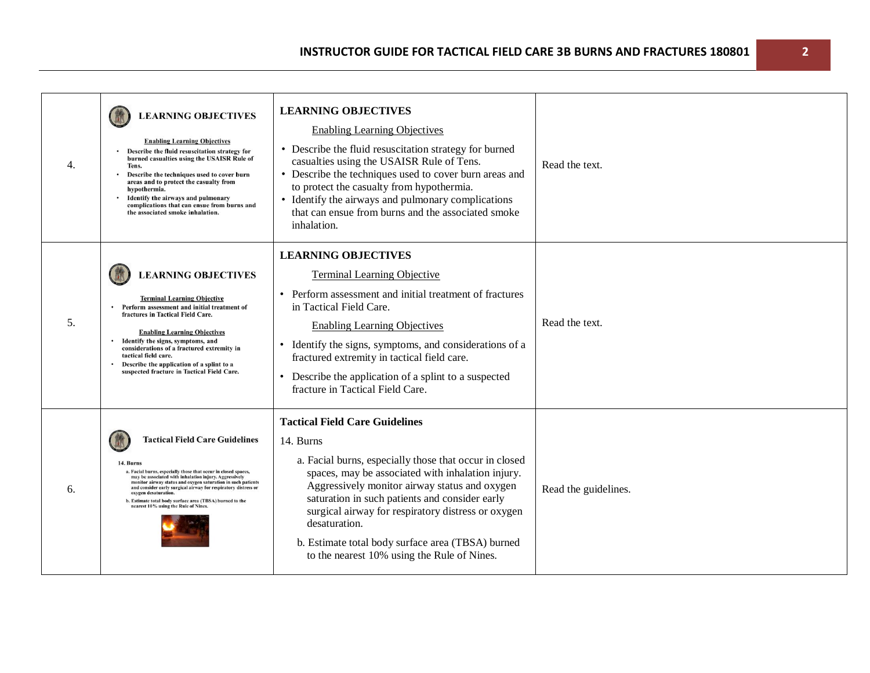| 4. | <b>LEARNING OBJECTIVES</b><br><b>Enabling Learning Objectives</b><br>Describe the fluid resuscitation strategy for<br>burned casualties using the USAISR Rule of<br>Tens.<br>Describe the techniques used to cover burn<br>areas and to protect the casualty from<br>hypothermia.<br>Identify the airways and pulmonary<br>complications that can ensue from burns and<br>the associated smoke inhalation.                                   | <b>LEARNING OBJECTIVES</b><br><b>Enabling Learning Objectives</b><br>• Describe the fluid resuscitation strategy for burned<br>casualties using the USAISR Rule of Tens.<br>• Describe the techniques used to cover burn areas and<br>to protect the casualty from hypothermia.<br>• Identify the airways and pulmonary complications<br>that can ensue from burns and the associated smoke<br>inhalation.                                      | Read the text.       |
|----|----------------------------------------------------------------------------------------------------------------------------------------------------------------------------------------------------------------------------------------------------------------------------------------------------------------------------------------------------------------------------------------------------------------------------------------------|-------------------------------------------------------------------------------------------------------------------------------------------------------------------------------------------------------------------------------------------------------------------------------------------------------------------------------------------------------------------------------------------------------------------------------------------------|----------------------|
| 5. | <b>LEARNING OBJECTIVES</b><br><b>Terminal Learning Objective</b><br>Perform assessment and initial treatment of<br>fractures in Tactical Field Care.<br><b>Enabling Learning Objectives</b><br>Identify the signs, symptoms, and<br>considerations of a fractured extremity in<br>tactical field care.<br>Describe the application of a splint to a<br>suspected fracture in Tactical Field Care.                                            | <b>LEARNING OBJECTIVES</b><br><b>Terminal Learning Objective</b><br>• Perform assessment and initial treatment of fractures<br>in Tactical Field Care.<br><b>Enabling Learning Objectives</b><br>Identify the signs, symptoms, and considerations of a<br>fractured extremity in tactical field care.<br>• Describe the application of a splint to a suspected<br>fracture in Tactical Field Care.                                              | Read the text.       |
| 6. | <b>Tactical Field Care Guidelines</b><br>14. Burns<br>a. Facial burns, especially those that occur in closed spaces,<br>may be associated with inhalation injury. Aggressively<br>monitor airway status and oxygen saturation in such patients<br>and consider early surgical airway for respiratory distress or<br>oxygen desaturation.<br>b. Estimate total body surface area (TBSA) burned to the<br>nearest 10% using the Rule of Nines. | <b>Tactical Field Care Guidelines</b><br>14. Burns<br>a. Facial burns, especially those that occur in closed<br>spaces, may be associated with inhalation injury.<br>Aggressively monitor airway status and oxygen<br>saturation in such patients and consider early<br>surgical airway for respiratory distress or oxygen<br>desaturation.<br>b. Estimate total body surface area (TBSA) burned<br>to the nearest 10% using the Rule of Nines. | Read the guidelines. |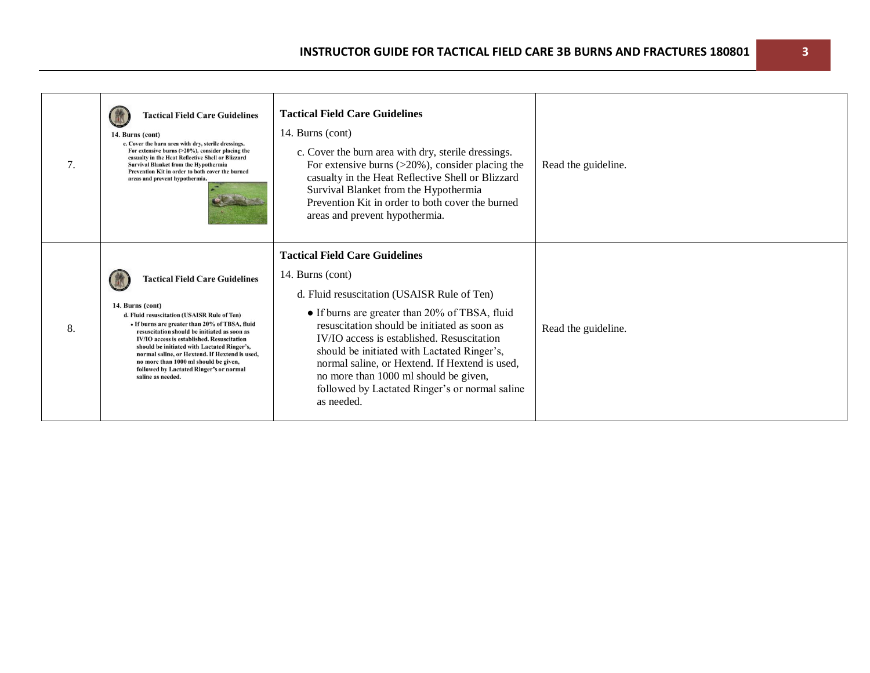| 7. | <b>Tactical Field Care Guidelines</b><br>14. Burns (cont)<br>c. Cover the burn area with dry, sterile dressings.<br>For extensive burns (>20%), consider placing the<br>casualty in the Heat Reflective Shell or Blizzard<br><b>Survival Blanket from the Hypothermia</b><br>Prevention Kit in order to both cover the burned<br>areas and prevent hypothermia.                                                                                                    | <b>Tactical Field Care Guidelines</b><br>14. Burns (cont)<br>c. Cover the burn area with dry, sterile dressings.<br>For extensive burns $(>20\%)$ , consider placing the<br>casualty in the Heat Reflective Shell or Blizzard<br>Survival Blanket from the Hypothermia<br>Prevention Kit in order to both cover the burned<br>areas and prevent hypothermia.                                                                                                       | Read the guideline. |
|----|--------------------------------------------------------------------------------------------------------------------------------------------------------------------------------------------------------------------------------------------------------------------------------------------------------------------------------------------------------------------------------------------------------------------------------------------------------------------|--------------------------------------------------------------------------------------------------------------------------------------------------------------------------------------------------------------------------------------------------------------------------------------------------------------------------------------------------------------------------------------------------------------------------------------------------------------------|---------------------|
| 8. | <b>Tactical Field Care Guidelines</b><br>14. Burns (cont)<br>d. Fluid resuscitation (USAISR Rule of Ten)<br>• If burns are greater than 20% of TBSA, fluid<br>resuscitation should be initiated as soon as<br>IV/IO access is established. Resuscitation<br>should be initiated with Lactated Ringer's,<br>normal saline, or Hextend. If Hextend is used,<br>no more than 1000 ml should be given,<br>followed by Lactated Ringer's or normal<br>saline as needed. | <b>Tactical Field Care Guidelines</b><br>14. Burns (cont)<br>d. Fluid resuscitation (USAISR Rule of Ten)<br>• If burns are greater than 20% of TBSA, fluid<br>resuscitation should be initiated as soon as<br>IV/IO access is established. Resuscitation<br>should be initiated with Lactated Ringer's,<br>normal saline, or Hextend. If Hextend is used,<br>no more than 1000 ml should be given,<br>followed by Lactated Ringer's or normal saline<br>as needed. | Read the guideline. |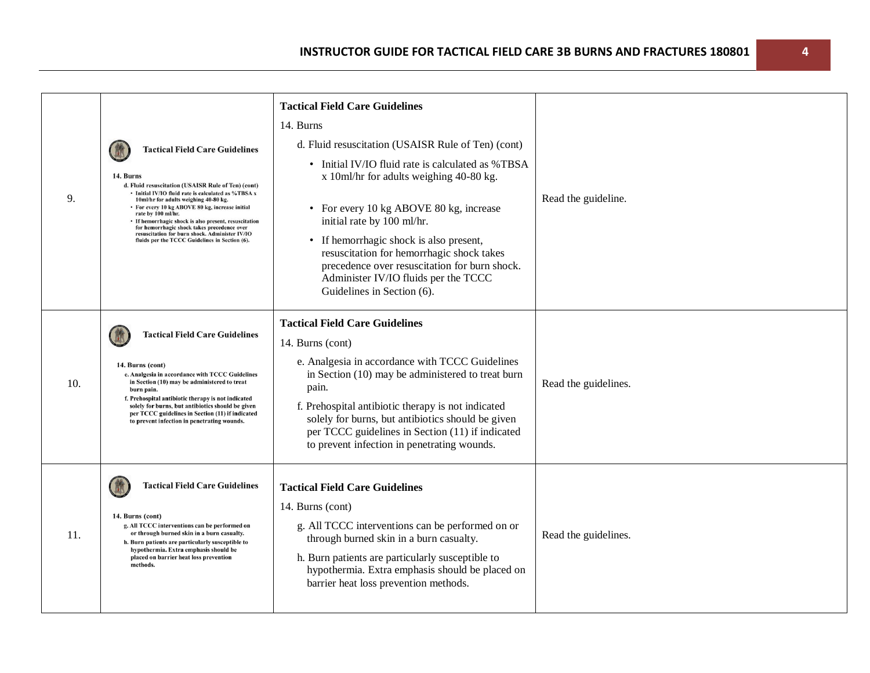| 9.  | <b>Tactical Field Care Guidelines</b><br>14. Burns<br>d. Fluid resuscitation (USAISR Rule of Ten) (cont)<br>• Initial IV/IO fluid rate is calculated as %TBSA x<br>10ml/hr for adults weighing 40-80 kg.<br>• For every 10 kg ABOVE 80 kg, increase initial<br>rate by 100 ml/hr.<br>• If hemorrhagic shock is also present, resuscitation<br>for hemorrhagic shock takes precedence over<br>resuscitation for burn shock. Administer IV/IO<br>fluids per the TCCC Guidelines in Section (6). | <b>Tactical Field Care Guidelines</b><br>14. Burns<br>d. Fluid resuscitation (USAISR Rule of Ten) (cont)<br>• Initial IV/IO fluid rate is calculated as %TBSA<br>x 10ml/hr for adults weighing 40-80 kg.<br>• For every 10 kg ABOVE 80 kg, increase<br>initial rate by 100 ml/hr.<br>• If hemorrhagic shock is also present,<br>resuscitation for hemorrhagic shock takes<br>precedence over resuscitation for burn shock.<br>Administer IV/IO fluids per the TCCC<br>Guidelines in Section (6). | Read the guideline.  |
|-----|-----------------------------------------------------------------------------------------------------------------------------------------------------------------------------------------------------------------------------------------------------------------------------------------------------------------------------------------------------------------------------------------------------------------------------------------------------------------------------------------------|--------------------------------------------------------------------------------------------------------------------------------------------------------------------------------------------------------------------------------------------------------------------------------------------------------------------------------------------------------------------------------------------------------------------------------------------------------------------------------------------------|----------------------|
| 10. | <b>Tactical Field Care Guidelines</b><br>14. Burns (cont)<br>e. Analgesia in accordance with TCCC Guidelines<br>in Section (10) may be administered to treat<br>burn pain.<br>f. Prehospital antibiotic therapy is not indicated<br>solely for burns, but antibiotics should be given<br>per TCCC guidelines in Section (11) if indicated<br>to prevent infection in penetrating wounds.                                                                                                      | <b>Tactical Field Care Guidelines</b><br>14. Burns (cont)<br>e. Analgesia in accordance with TCCC Guidelines<br>in Section (10) may be administered to treat burn<br>pain.<br>f. Prehospital antibiotic therapy is not indicated<br>solely for burns, but antibiotics should be given<br>per TCCC guidelines in Section (11) if indicated<br>to prevent infection in penetrating wounds.                                                                                                         | Read the guidelines. |
| 11. | <b>Tactical Field Care Guidelines</b><br>14. Burns (cont)<br>g. All TCCC interventions can be performed on<br>or through burned skin in a burn casualty.<br>h. Burn patients are particularly susceptible to<br>hypothermia. Extra emphasis should be<br>placed on barrier heat loss prevention<br>methods.                                                                                                                                                                                   | <b>Tactical Field Care Guidelines</b><br>14. Burns (cont)<br>g. All TCCC interventions can be performed on or<br>through burned skin in a burn casualty.<br>h. Burn patients are particularly susceptible to<br>hypothermia. Extra emphasis should be placed on<br>barrier heat loss prevention methods.                                                                                                                                                                                         | Read the guidelines. |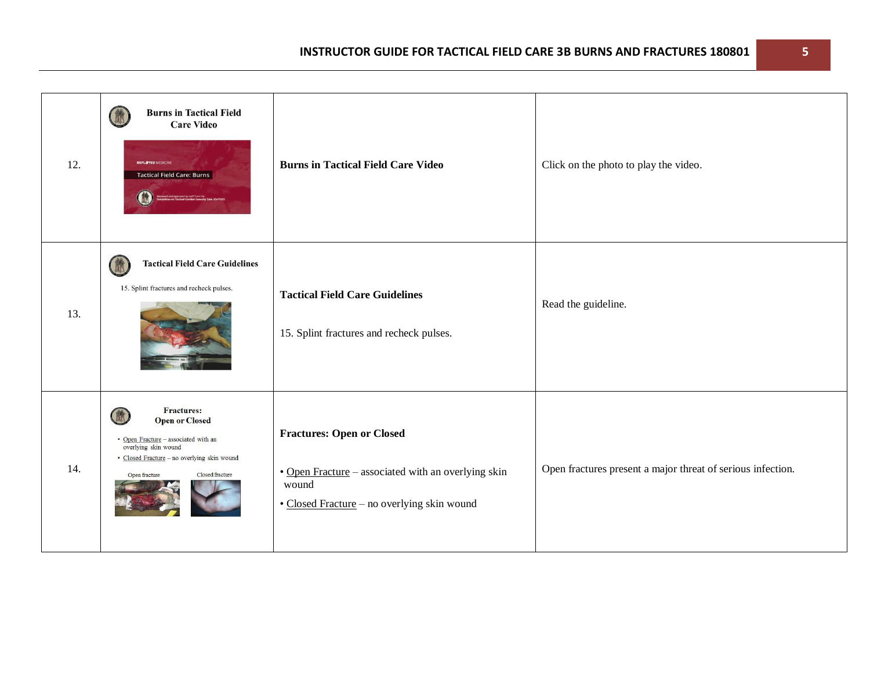| 12. | <b>Burns in Tactical Field</b><br>(静<br><b>Care Video</b><br><b>DEPLOYED MEDICINE</b><br><b>Tactical Field Care: Burns</b>                                                                         | <b>Burns in Tactical Field Care Video</b>                                                                                                       | Click on the photo to play the video.                       |
|-----|----------------------------------------------------------------------------------------------------------------------------------------------------------------------------------------------------|-------------------------------------------------------------------------------------------------------------------------------------------------|-------------------------------------------------------------|
| 13. | <b>Tactical Field Care Guidelines</b><br>(微<br>15. Splint fractures and recheck pulses.                                                                                                            | <b>Tactical Field Care Guidelines</b><br>15. Splint fractures and recheck pulses.                                                               | Read the guideline.                                         |
| 14. | <b>Fractures:</b><br>微<br><b>Open or Closed</b><br>· Open Fracture - associated with an<br>overlying skin wound<br>· Closed Fracture - no overlying skin wound<br>Closed fracture<br>Open fracture | <b>Fractures: Open or Closed</b><br>• Open Fracture - associated with an overlying skin<br>wound<br>• Closed Fracture - no overlying skin wound | Open fractures present a major threat of serious infection. |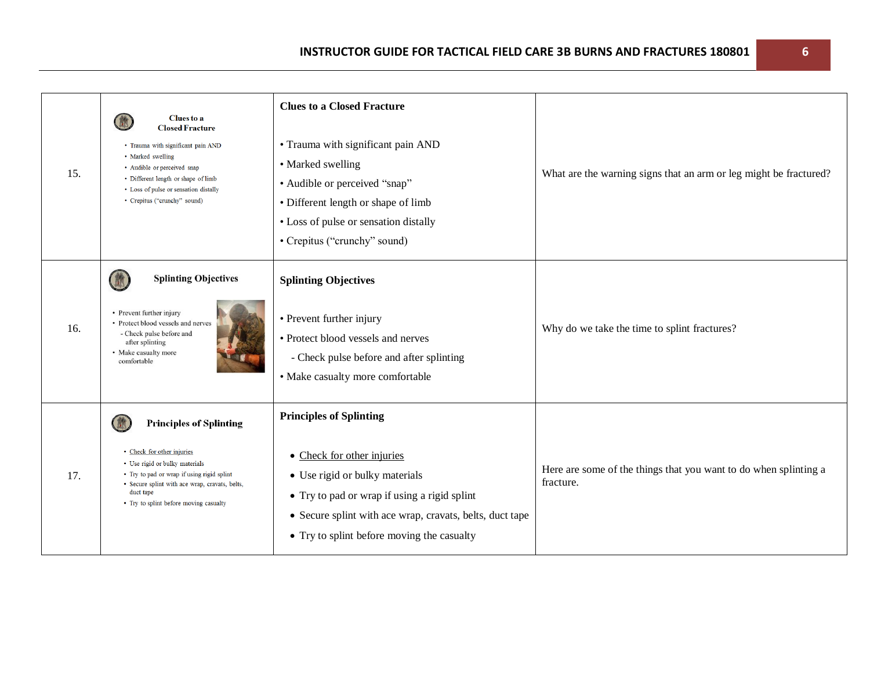| 15. | <b>Clues</b> to a<br><b>Closed Fracture</b><br>· Trauma with significant pain AND<br>· Marked swelling<br>• Audible or perceived snap<br>• Different length or shape of limb<br>• Loss of pulse or sensation distally<br>• Crepitus ("crunchy" sound) | <b>Clues to a Closed Fracture</b><br>• Trauma with significant pain AND<br>• Marked swelling<br>• Audible or perceived "snap"<br>• Different length or shape of limb<br>• Loss of pulse or sensation distally<br>• Crepitus ("crunchy" sound)            | What are the warning signs that an arm or leg might be fractured?             |
|-----|-------------------------------------------------------------------------------------------------------------------------------------------------------------------------------------------------------------------------------------------------------|----------------------------------------------------------------------------------------------------------------------------------------------------------------------------------------------------------------------------------------------------------|-------------------------------------------------------------------------------|
| 16. | <b>Splinting Objectives</b><br>• Prevent further injury<br>• Protect blood vessels and nerves<br>- Check pulse before and<br>after splinting<br>• Make casualty more<br>comfortable                                                                   | <b>Splinting Objectives</b><br>• Prevent further injury<br>• Protect blood vessels and nerves<br>- Check pulse before and after splinting<br>• Make casualty more comfortable                                                                            | Why do we take the time to splint fractures?                                  |
| 17. | <b>Principles of Splinting</b><br>• Check for other injuries<br>• Use rigid or bulky materials<br>• Try to pad or wrap if using rigid splint<br>· Secure splint with ace wrap, cravats, belts,<br>duct tape<br>• Try to splint before moving casualty | <b>Principles of Splinting</b><br>• Check for other injuries<br>• Use rigid or bulky materials<br>• Try to pad or wrap if using a rigid splint<br>• Secure splint with ace wrap, cravats, belts, duct tape<br>• Try to splint before moving the casualty | Here are some of the things that you want to do when splinting a<br>fracture. |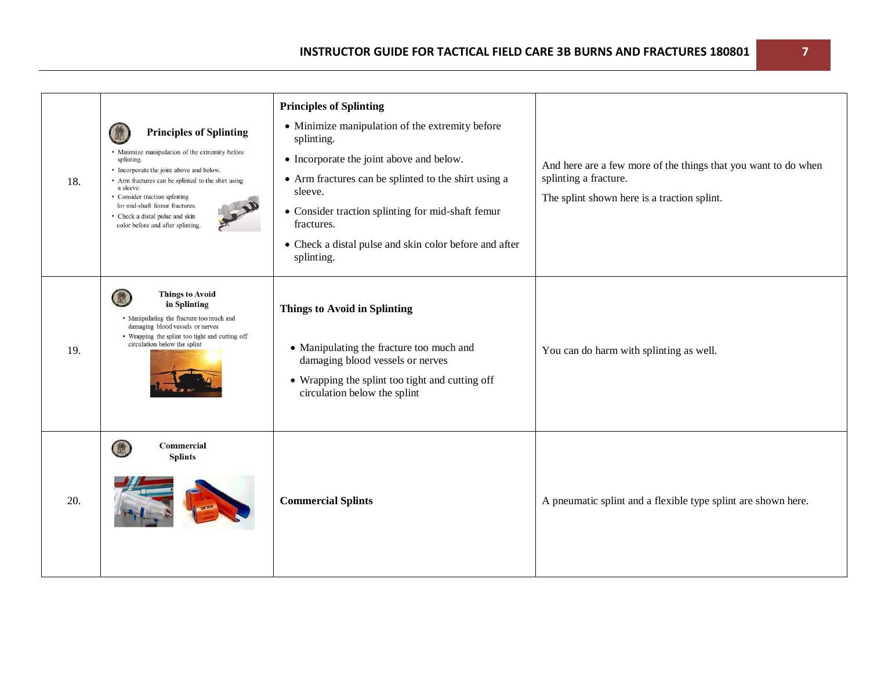| 18. | <b>Principles of Splinting</b><br>• Minimize manipulation of the extremity before<br>splinting.<br>• Incorporate the joint above and below.<br>• Arm fractures can be splinted to the shirt using<br>a sleeve.<br>• Consider traction splinting<br>for mid-shaft femur fractures.<br>• Check a distal pulse and skin<br>color before and after splinting. | <b>Principles of Splinting</b><br>• Minimize manipulation of the extremity before<br>splinting.<br>• Incorporate the joint above and below.<br>• Arm fractures can be splinted to the shirt using a<br>sleeve.<br>• Consider traction splinting for mid-shaft femur<br>fractures.<br>• Check a distal pulse and skin color before and after<br>splinting. | And here are a few more of the things that you want to do when<br>splinting a fracture.<br>The splint shown here is a traction splint. |
|-----|-----------------------------------------------------------------------------------------------------------------------------------------------------------------------------------------------------------------------------------------------------------------------------------------------------------------------------------------------------------|-----------------------------------------------------------------------------------------------------------------------------------------------------------------------------------------------------------------------------------------------------------------------------------------------------------------------------------------------------------|----------------------------------------------------------------------------------------------------------------------------------------|
| 19. | <b>Things to Avoid</b><br>in Splinting<br>· Manipulating the fracture too much and<br>damaging blood vessels or nerves<br>• Wrapping the splint too tight and cutting off<br>circulation below the splint                                                                                                                                                 | <b>Things to Avoid in Splinting</b><br>• Manipulating the fracture too much and<br>damaging blood vessels or nerves<br>• Wrapping the splint too tight and cutting off<br>circulation below the splint                                                                                                                                                    | You can do harm with splinting as well.                                                                                                |
| 20. | <b>Commercial</b><br><b>Splints</b>                                                                                                                                                                                                                                                                                                                       | <b>Commercial Splints</b>                                                                                                                                                                                                                                                                                                                                 | A pneumatic splint and a flexible type splint are shown here.                                                                          |